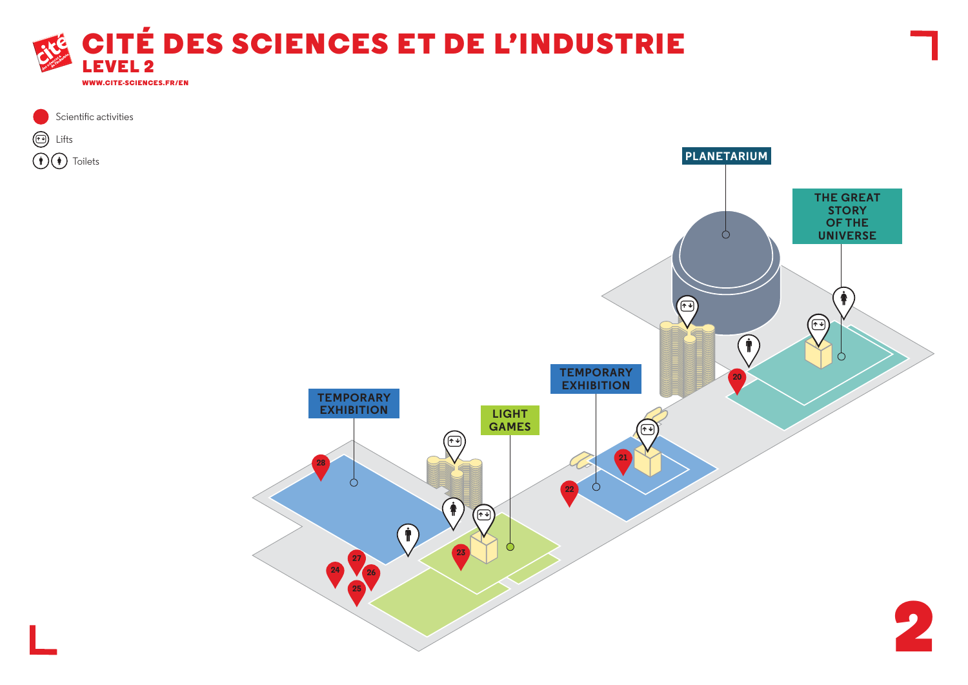



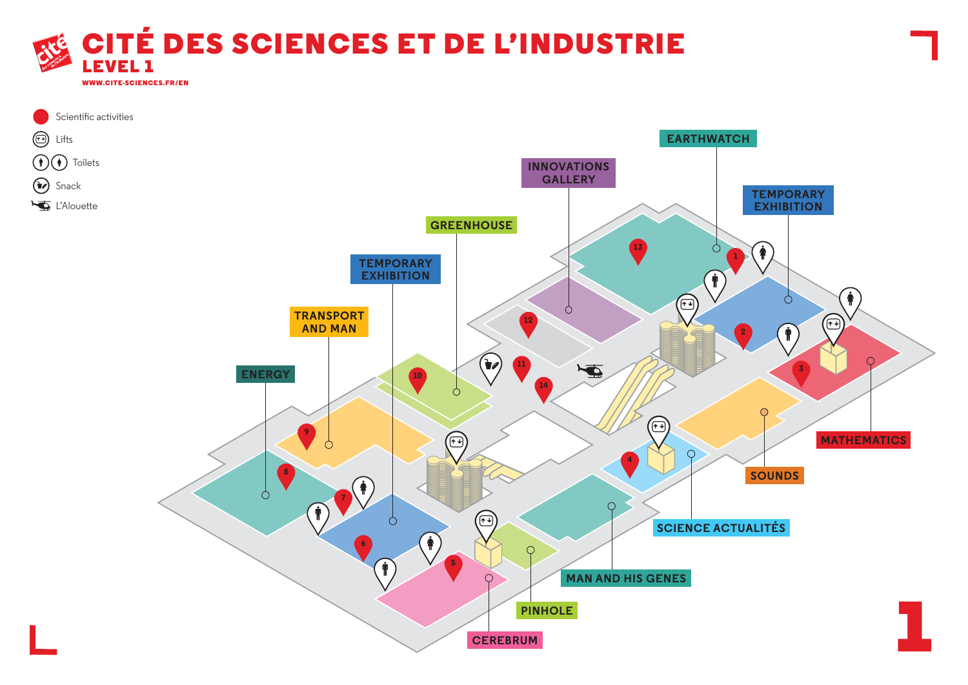

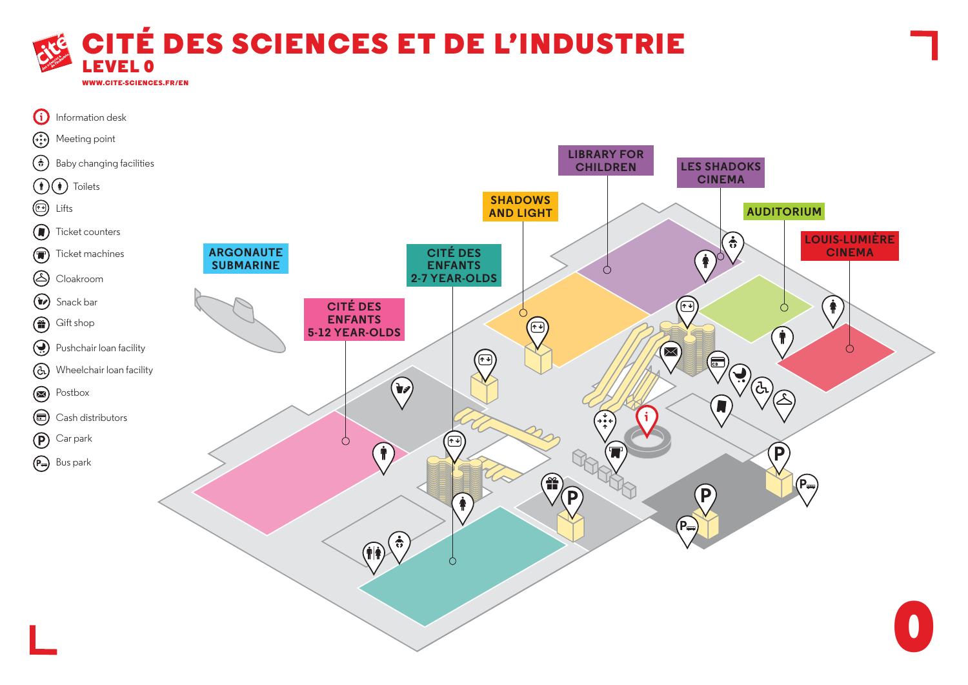

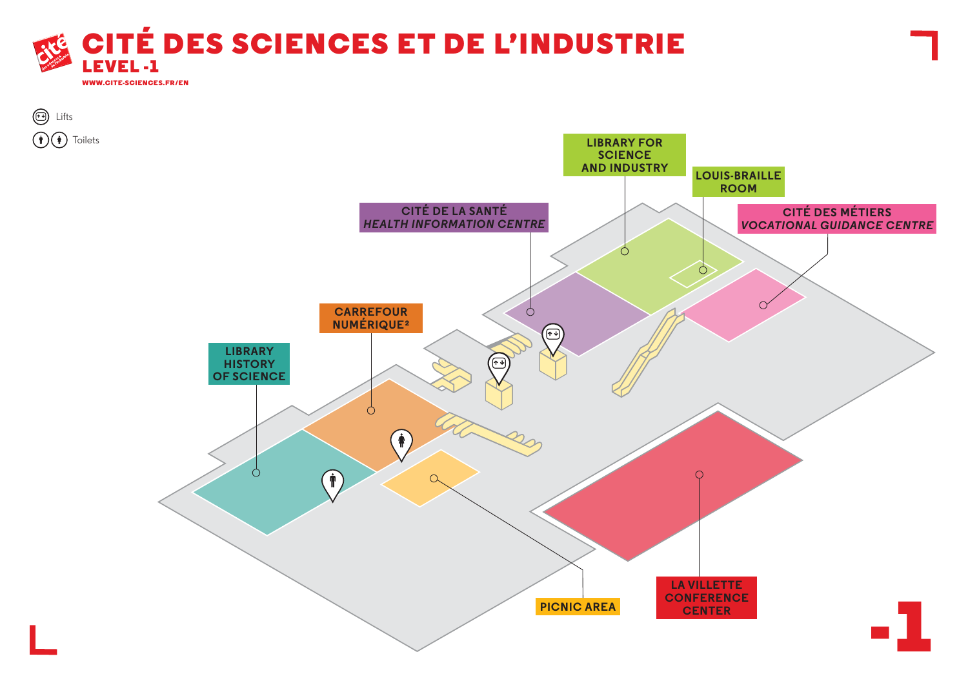



Lifts

Toilets